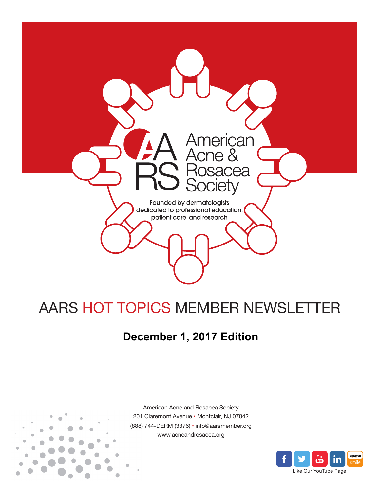

# AARS HOT TOPICS MEMBER NEWSLETTER

## **December 1, 2017 Edition**



American Acne and Rosacea Society 201 Claremont Avenue • Montclair, NJ 07042 (888) 744-DERM (3376) • info@aarsmember.org www.acneandrosacea.org

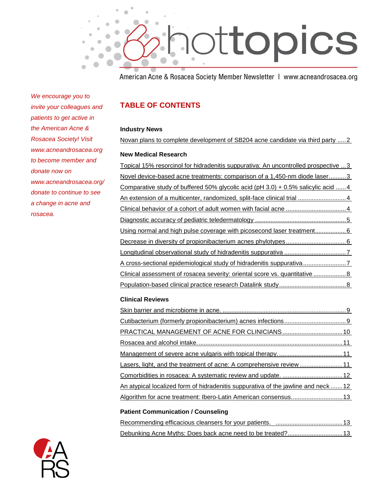

American Acne & Rosacea Society Member Newsletter | www.acneandrosacea.org

*We encourage you to invite your colleagues and patients to get active in the American Acne & Rosacea Society! Visit www.acneandrosacea.org to become member and donate now on www.acneandrosacea.org/ donate to continue to see a change in acne and rosacea.*

## **TABLE OF CONTENTS**

#### **Industry News**

[Novan plans to complete development of SB204 acne candidate via third party](#page-2-0) .....2

#### **New Medical Research**

<span id="page-1-0"></span>

#### **Clinical Reviews**

| Lasers, light, and the treatment of acne: A comprehensive review                  |  |
|-----------------------------------------------------------------------------------|--|
|                                                                                   |  |
| An atypical localized form of hidradenitis suppurativa of the jawline and neck 12 |  |
|                                                                                   |  |
|                                                                                   |  |

#### **Patient Communication / Counseling**

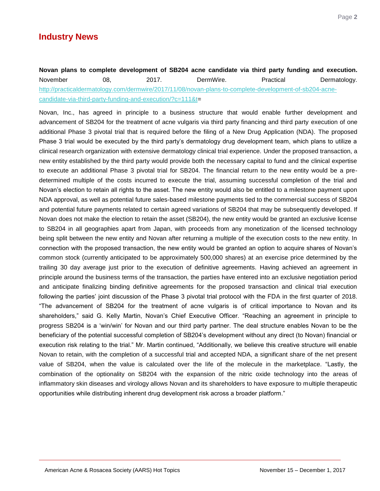## **Industry News**

## <span id="page-2-0"></span>**Novan plans to complete development of SB204 acne candidate via third party funding and execution.**  November 08, 2017. DermWire. Practical Dermatology. [http://practicaldermatology.com/dermwire/2017/11/08/novan-plans-to-complete-development-of-sb204-acne](http://practicaldermatology.com/dermwire/2017/11/08/novan-plans-to-complete-development-of-sb204-acne-candidate-via-third-party-funding-and-execution/?c=111&t)[candidate-via-third-party-funding-and-execution/?c=111&t=](http://practicaldermatology.com/dermwire/2017/11/08/novan-plans-to-complete-development-of-sb204-acne-candidate-via-third-party-funding-and-execution/?c=111&t)

Novan, Inc., has agreed in principle to a business structure that would enable further development and advancement of SB204 for the treatment of acne vulgaris via third party financing and third party execution of one additional Phase 3 pivotal trial that is required before the filing of a New Drug Application (NDA). The proposed Phase 3 trial would be executed by the third party"s dermatology drug development team, which plans to utilize a clinical research organization with extensive dermatology clinical trial experience. Under the proposed transaction, a new entity established by the third party would provide both the necessary capital to fund and the clinical expertise to execute an additional Phase 3 pivotal trial for SB204. The financial return to the new entity would be a predetermined multiple of the costs incurred to execute the trial, assuming successful completion of the trial and Novan"s election to retain all rights to the asset. The new entity would also be entitled to a milestone payment upon NDA approval, as well as potential future sales-based milestone payments tied to the commercial success of SB204 and potential future payments related to certain agreed variations of SB204 that may be subsequently developed. If Novan does not make the election to retain the asset (SB204), the new entity would be granted an exclusive license to SB204 in all geographies apart from Japan, with proceeds from any monetization of the licensed technology being split between the new entity and Novan after returning a multiple of the execution costs to the new entity. In connection with the proposed transaction, the new entity would be granted an option to acquire shares of Novan"s common stock (currently anticipated to be approximately 500,000 shares) at an exercise price determined by the trailing 30 day average just prior to the execution of definitive agreements. Having achieved an agreement in principle around the business terms of the transaction, the parties have entered into an exclusive negotiation period and anticipate finalizing binding definitive agreements for the proposed transaction and clinical trial execution following the parties" joint discussion of the Phase 3 pivotal trial protocol with the FDA in the first quarter of 2018. "The advancement of SB204 for the treatment of acne vulgaris is of critical importance to Novan and its shareholders," said G. Kelly Martin, Novan"s Chief Executive Officer. "Reaching an agreement in principle to progress SB204 is a "win/win" for Novan and our third party partner. The deal structure enables Novan to be the beneficiary of the potential successful completion of SB204"s development without any direct (to Novan) financial or execution risk relating to the trial." Mr. Martin continued, "Additionally, we believe this creative structure will enable Novan to retain, with the completion of a successful trial and accepted NDA, a significant share of the net present value of SB204, when the value is calculated over the life of the molecule in the marketplace. "Lastly, the combination of the optionality on SB204 with the expansion of the nitric oxide technology into the areas of inflammatory skin diseases and virology allows Novan and its shareholders to have exposure to multiple therapeutic opportunities while distributing inherent drug development risk across a broader platform."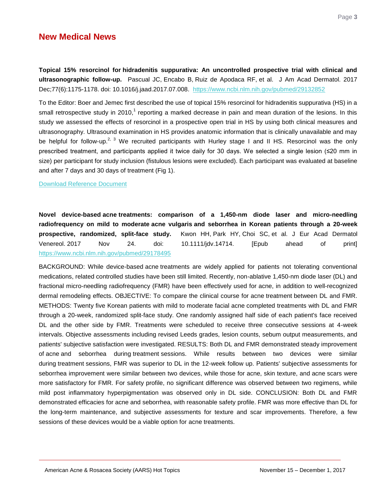## **New Medical News**

<span id="page-3-0"></span>**Topical 15% resorcinol for hidradenitis suppurativa: An uncontrolled prospective trial with clinical and ultrasonographic follow-up.** Pascual JC, Encabo B, Ruiz de Apodaca RF, et al. J Am Acad Dermatol. 2017 Dec;77(6):1175-1178. doi: 10.1016/j.jaad.2017.07.008. <https://www.ncbi.nlm.nih.gov/pubmed/29132852>

To the Editor: Boer and Jemec first described the use of topical 15% resorcinol for hidradenitis suppurativa (HS) in a small retrospective study in 2010,<sup>1</sup> reporting a marked decrease in pain and mean duration of the lesions. In this study we assessed the effects of resorcinol in a prospective open trial in HS by using both clinical measures and ultrasonography. Ultrasound examination in HS provides anatomic information that is clinically unavailable and may be helpful for follow-up.<sup>2, 3</sup> We recruited participants with Hurley stage I and II HS. Resorcinol was the only prescribed treatment, and participants applied it twice daily for 30 days. We selected a single lesion (≤20 mm in size) per participant for study inclusion (fistulous lesions were excluded). Each participant was evaluated at baseline and after 7 days and 30 days of treatment (Fig 1).

[Download Reference Document](http://files.constantcontact.com/c2fa20d1101/d0d1f9e1-3722-480c-a3f6-c773c644a8c9.pdf?ver=1512069141000)

<span id="page-3-1"></span>**Novel device-based acne treatments: comparison of a 1,450-nm diode laser and micro-needling radiofrequency on mild to moderate acne vulgaris and seborrhea in Korean patients through a 20-week prospective, randomized, split-face study.** Kwon HH, Park HY, Choi SC, et al. J Eur Acad Dermatol Venereol. 2017 Nov 24. doi: 10.1111/jdv.14714. [Epub ahead of print] <https://www.ncbi.nlm.nih.gov/pubmed/29178495>

BACKGROUND: While device-based acne treatments are widely applied for patients not tolerating conventional medications, related controlled studies have been still limited. Recently, non-ablative 1,450-nm diode laser (DL) and fractional micro-needling radiofrequency (FMR) have been effectively used for acne, in addition to well-recognized dermal remodeling effects. OBJECTIVE: To compare the clinical course for acne treatment between DL and FMR. METHODS: Twenty five Korean patients with mild to moderate facial acne completed treatments with DL and FMR through a 20-week, randomized split-face study. One randomly assigned half side of each patient's face received DL and the other side by FMR. Treatments were scheduled to receive three consecutive sessions at 4-week intervals. Objective assessments including revised Leeds grades, lesion counts, sebum output measurements, and patients' subjective satisfaction were investigated. RESULTS: Both DL and FMR demonstrated steady improvement of acne and seborrhea during treatment sessions. While results between two devices were similar during treatment sessions, FMR was superior to DL in the 12-week follow up. Patients' subjective assessments for seborrhea improvement were similar between two devices, while those for acne, skin texture, and acne scars were more satisfactory for FMR. For safety profile, no significant difference was observed between two regimens, while mild post inflammatory hyperpigmentation was observed only in DL side. CONCLUSION: Both DL and FMR demonstrated efficacies for acne and seborrhea, with reasonable safety profile. FMR was more effective than DL for the long-term maintenance, and subjective assessments for texture and scar improvements. Therefore, a few sessions of these devices would be a viable option for acne treatments.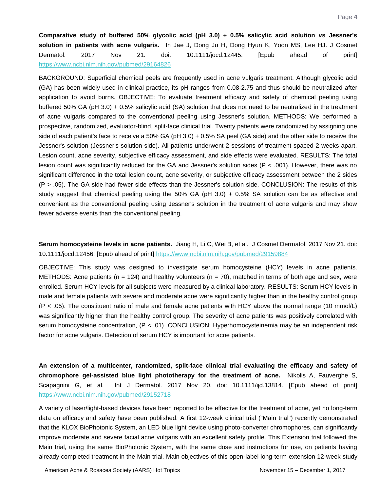<span id="page-4-0"></span>**Comparative study of buffered 50% glycolic acid (pH 3.0) + 0.5% salicylic acid solution vs Jessner's solution in patients with acne vulgaris.** In Jae J, Dong Ju H, Dong Hyun K, Yoon MS, Lee HJ. J Cosmet Dermatol. 2017 Nov 21. doi: 10.1111/jocd.12445. [Epub ahead of print] <https://www.ncbi.nlm.nih.gov/pubmed/29164826>

BACKGROUND: Superficial chemical peels are frequently used in acne vulgaris treatment. Although glycolic acid (GA) has been widely used in clinical practice, its pH ranges from 0.08-2.75 and thus should be neutralized after application to avoid burns. OBJECTIVE: To evaluate treatment efficacy and safety of chemical peeling using buffered 50% GA (pH 3.0) + 0.5% salicylic acid (SA) solution that does not need to be neutralized in the treatment of acne vulgaris compared to the conventional peeling using Jessner's solution. METHODS: We performed a prospective, randomized, evaluator-blind, split-face clinical trial. Twenty patients were randomized by assigning one side of each patient's face to receive a 50% GA (pH 3.0) + 0.5% SA peel (GA side) and the other side to receive the Jessner's solution (Jessner's solution side). All patients underwent 2 sessions of treatment spaced 2 weeks apart. Lesion count, acne severity, subjective efficacy assessment, and side effects were evaluated. RESULTS: The total lesion count was significantly reduced for the GA and Jessner's solution sides (P < .001). However, there was no significant difference in the total lesion count, acne severity, or subjective efficacy assessment between the 2 sides (P > .05). The GA side had fewer side effects than the Jessner's solution side. CONCLUSION: The results of this study suggest that chemical peeling using the 50% GA (pH 3.0) + 0.5% SA solution can be as effective and convenient as the conventional peeling using Jessner's solution in the treatment of acne vulgaris and may show fewer adverse events than the conventional peeling.

**Serum homocysteine levels in acne patients.** Jiang H, Li C, Wei B, et al. J Cosmet Dermatol. 2017 Nov 21. doi: 10.1111/jocd.12456. [Epub ahead of print] <https://www.ncbi.nlm.nih.gov/pubmed/29159884>

OBJECTIVE: This study was designed to investigate serum homocysteine (HCY) levels in acne patients. METHODS: Acne patients (n = 124) and healthy volunteers (n = 70), matched in terms of both age and sex, were enrolled. Serum HCY levels for all subjects were measured by a clinical laboratory. RESULTS: Serum HCY levels in male and female patients with severe and moderate acne were significantly higher than in the healthy control group (P < .05). The constituent ratio of male and female acne patients with HCY above the normal range (10 mmol/L) was significantly higher than the healthy control group. The severity of acne patients was positively correlated with serum homocysteine concentration, (P < .01). CONCLUSION: Hyperhomocysteinemia may be an independent risk factor for acne vulgaris. Detection of serum HCY is important for acne patients.

**An extension of a multicenter, randomized, split-face clinical trial evaluating the efficacy and safety of chromophore gel-assisted blue light phototherapy for the treatment of acne.** Nikolis A, Fauverghe S, Scapagnini G, et al. Int J Dermatol. 2017 Nov 20. doi: 10.1111/ijd.13814. [Epub ahead of print] <https://www.ncbi.nlm.nih.gov/pubmed/29152718>

A variety of laser/light-based devices have been reported to be effective for the treatment of acne, yet no long-term data on efficacy and safety have been published. A first 12-week clinical trial ("Main trial") recently demonstrated that the KLOX BioPhotonic System, an LED blue light device using photo-converter chromophores, can significantly improve moderate and severe facial acne vulgaris with an excellent safety profile. This Extension trial followed the Main trial, using the same BioPhotonic System, with the same dose and instructions for use, on patients having already completed treatment in the Main trial. Main objectives of this open-label long-term extension 12-week study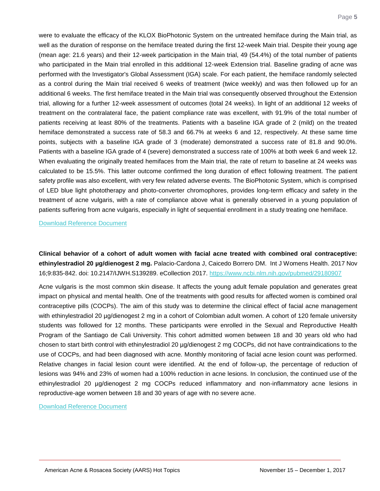were to evaluate the efficacy of the KLOX BioPhotonic System on the untreated hemiface during the Main trial, as well as the duration of response on the hemiface treated during the first 12-week Main trial. Despite their young age (mean age: 21.6 years) and their 12-week participation in the Main trial, 49 (54.4%) of the total number of patients who participated in the Main trial enrolled in this additional 12-week Extension trial. Baseline grading of acne was performed with the Investigator's Global Assessment (IGA) scale. For each patient, the hemiface randomly selected as a control during the Main trial received 6 weeks of treatment (twice weekly) and was then followed up for an additional 6 weeks. The first hemiface treated in the Main trial was consequently observed throughout the Extension trial, allowing for a further 12-week assessment of outcomes (total 24 weeks). In light of an additional 12 weeks of treatment on the contralateral face, the patient compliance rate was excellent, with 91.9% of the total number of patients receiving at least 80% of the treatments. Patients with a baseline IGA grade of 2 (mild) on the treated hemiface demonstrated a success rate of 58.3 and 66.7% at weeks 6 and 12, respectively. At these same time points, subjects with a baseline IGA grade of 3 (moderate) demonstrated a success rate of 81.8 and 90.0%. Patients with a baseline IGA grade of 4 (severe) demonstrated a success rate of 100% at both week 6 and week 12. When evaluating the originally treated hemifaces from the Main trial, the rate of return to baseline at 24 weeks was calculated to be 15.5%. This latter outcome confirmed the long duration of effect following treatment. The patient safety profile was also excellent, with very few related adverse events. The BioPhotonic System, which is comprised of LED blue light phototherapy and photo-converter chromophores, provides long-term efficacy and safety in the treatment of acne vulgaris, with a rate of compliance above what is generally observed in a young population of patients suffering from acne vulgaris, especially in light of sequential enrollment in a study treating one hemiface.

[Download Reference Document](http://files.constantcontact.com/c2fa20d1101/6bbd078b-12f2-4c3e-9047-9d1f2d7541fb.pdf?ver=1512069154000)

<span id="page-5-0"></span>**Clinical behavior of a cohort of adult women with facial acne treated with combined oral contraceptive: ethinylestradiol 20 µg/dienogest 2 mg.** Palacio-Cardona J, Caicedo Borrero DM. Int J Womens Health. 2017 Nov 16;9:835-842. doi: 10.2147/IJWH.S139289. eCollection 2017.<https://www.ncbi.nlm.nih.gov/pubmed/29180907>

Acne vulgaris is the most common skin disease. It affects the young adult female population and generates great impact on physical and mental health. One of the treatments with good results for affected women is combined oral contraceptive pills (COCPs). The aim of this study was to determine the clinical effect of facial acne management with ethinylestradiol 20 µg/dienogest 2 mg in a cohort of Colombian adult women. A cohort of 120 female university students was followed for 12 months. These participants were enrolled in the Sexual and Reproductive Health Program of the Santiago de Cali University. This cohort admitted women between 18 and 30 years old who had chosen to start birth control with ethinylestradiol 20 µg/dienogest 2 mg COCPs, did not have contraindications to the use of COCPs, and had been diagnosed with acne. Monthly monitoring of facial acne lesion count was performed. Relative changes in facial lesion count were identified. At the end of follow-up, the percentage of reduction of lesions was 94% and 23% of women had a 100% reduction in acne lesions. In conclusion, the continued use of the ethinylestradiol 20 µg/dienogest 2 mg COCPs reduced inflammatory and non-inflammatory acne lesions in reproductive-age women between 18 and 30 years of age with no severe acne.

[Download Reference Document](http://files.constantcontact.com/c2fa20d1101/19d1c888-d422-4c2d-9472-5d0c0bbab2ac.pdf?ver=1512069141000)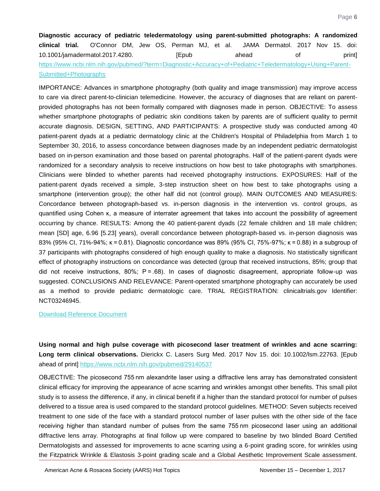<span id="page-6-0"></span>**Diagnostic accuracy of pediatric teledermatology using parent-submitted photographs: A randomized clinical trial.** O'Connor DM, Jew OS, Perman MJ, et al. JAMA Dermatol. 2017 Nov 15. doi: 10.1001/jamadermatol.2017.4280. [Epub ahead of print] [https://www.ncbi.nlm.nih.gov/pubmed/?term=Diagnostic+Accuracy+of+Pediatric+Teledermatology+Using+Parent-](https://www.ncbi.nlm.nih.gov/pubmed/?term=Diagnostic+Accuracy+of+Pediatric+Teledermatology+Using+Parent-Submitted+Photographs)[Submitted+Photographs](https://www.ncbi.nlm.nih.gov/pubmed/?term=Diagnostic+Accuracy+of+Pediatric+Teledermatology+Using+Parent-Submitted+Photographs)

IMPORTANCE: Advances in smartphone photography (both quality and image transmission) may improve access to care via direct parent-to-clinician telemedicine. However, the accuracy of diagnoses that are reliant on parentprovided photographs has not been formally compared with diagnoses made in person. OBJECTIVE: To assess whether smartphone photographs of pediatric skin conditions taken by parents are of sufficient quality to permit accurate diagnosis. DESIGN, SETTING, AND PARTICIPANTS: A prospective study was conducted among 40 patient-parent dyads at a pediatric dermatology clinic at the Children's Hospital of Philadelphia from March 1 to September 30, 2016, to assess concordance between diagnoses made by an independent pediatric dermatologist based on in-person examination and those based on parental photographs. Half of the patient-parent dyads were randomized for a secondary analysis to receive instructions on how best to take photographs with smartphones. Clinicians were blinded to whether parents had received photography instructions. EXPOSURES: Half of the patient-parent dyads received a simple, 3-step instruction sheet on how best to take photographs using a smartphone (intervention group); the other half did not (control group). MAIN OUTCOMES AND MEASURES: Concordance between photograph-based vs. in-person diagnosis in the intervention vs. control groups, as quantified using Cohen κ, a measure of interrater agreement that takes into account the possibility of agreement occurring by chance. RESULTS: Among the 40 patient-parent dyads (22 female children and 18 male children; mean [SD] age, 6.96 [5.23] years), overall concordance between photograph-based vs. in-person diagnosis was 83% (95% CI, 71%-94%; κ = 0.81). Diagnostic concordance was 89% (95% CI, 75%-97%; κ = 0.88) in a subgroup of 37 participants with photographs considered of high enough quality to make a diagnosis. No statistically significant effect of photography instructions on concordance was detected (group that received instructions, 85%; group that did not receive instructions, 80%; P = .68). In cases of diagnostic disagreement, appropriate follow-up was suggested. CONCLUSIONS AND RELEVANCE: Parent-operated smartphone photography can accurately be used as a method to provide pediatric dermatologic care. TRIAL REGISTRATION: clinicaltrials.gov Identifier: NCT03246945.

#### [Download Reference Document](http://files.constantcontact.com/c2fa20d1101/328348fb-f011-4299-8bc4-420a4f0302b7.pdf?ver=1512069138000)

<span id="page-6-1"></span>**Using normal and high pulse coverage with picosecond laser treatment of wrinkles and acne scarring: Long term clinical observations.** Dierickx C. Lasers Surg Med. 2017 Nov 15. doi: 10.1002/lsm.22763. [Epub ahead of print]<https://www.ncbi.nlm.nih.gov/pubmed/29140537>

OBJECTIVE: The picosecond 755 nm alexandrite laser using a diffractive lens array has demonstrated consistent clinical efficacy for improving the appearance of acne scarring and wrinkles amongst other benefits. This small pilot study is to assess the difference, if any, in clinical benefit if a higher than the standard protocol for number of pulses delivered to a tissue area is used compared to the standard protocol guidelines. METHOD: Seven subjects received treatment to one side of the face with a standard protocol number of laser pulses with the other side of the face receiving higher than standard number of pulses from the same 755 nm picosecond laser using an additional diffractive lens array. Photographs at final follow up were compared to baseline by two blinded Board Certified Dermatologists and assessed for improvements to acne scarring using a 6-point grading score, for wrinkles using the Fitzpatrick Wrinkle & Elastosis 3-point grading scale and a Global Aesthetic Improvement Scale assessment.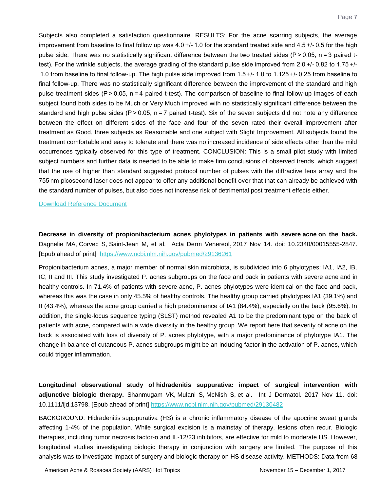Subjects also completed a satisfaction questionnaire. RESULTS: For the acne scarring subjects, the average improvement from baseline to final follow up was 4.0 +/- 1.0 for the standard treated side and 4.5 +/- 0.5 for the high pulse side. There was no statistically significant difference between the two treated sides (P > 0.05, n = 3 paired ttest). For the wrinkle subjects, the average grading of the standard pulse side improved from 2.0 +/- 0.82 to 1.75 +/-  1.0 from baseline to final follow-up. The high pulse side improved from 1.5 +/- 1.0 to 1.125 +/- 0.25 from baseline to final follow-up. There was no statistically significant difference between the improvement of the standard and high pulse treatment sides (P > 0.05, n = 4 paired t-test). The comparison of baseline to final follow-up images of each subject found both sides to be Much or Very Much improved with no statistically significant difference between the standard and high pulse sides (P > 0.05, n = 7 paired t-test). Six of the seven subjects did not note any difference between the effect on different sides of the face and four of the seven rated their overall improvement after treatment as Good, three subjects as Reasonable and one subject with Slight Improvement. All subjects found the treatment comfortable and easy to tolerate and there was no increased incidence of side effects other than the mild occurrences typically observed for this type of treatment. CONCLUSION: This is a small pilot study with limited subject numbers and further data is needed to be able to make firm conclusions of observed trends, which suggest that the use of higher than standard suggested protocol number of pulses with the diffractive lens array and the 755 nm picosecond laser does not appear to offer any additional benefit over that that can already be achieved with the standard number of pulses, but also does not increase risk of detrimental post treatment effects either.

[Download Reference Document](http://files.constantcontact.com/c2fa20d1101/272a39e7-1639-42f9-ab89-b3e98aceeb26.pdf?ver=1512069150000)

<span id="page-7-0"></span>**Decrease in diversity of propionibacterium acnes phylotypes in patients with severe acne on the back.** Dagnelie MA, Corvec S, Saint-Jean M, et al. Acta Derm Venereol. 2017 Nov 14. doi: 10.2340/00015555-2847. [Epub ahead of print] <https://www.ncbi.nlm.nih.gov/pubmed/29136261>

Propionibacterium acnes, a major member of normal skin microbiota, is subdivided into 6 phylotypes: IA1, IA2, IB, IC, II and III. This study investigated P. acnes subgroups on the face and back in patients with severe acne and in healthy controls. In 71.4% of patients with severe acne, P. acnes phylotypes were identical on the face and back, whereas this was the case in only 45.5% of healthy controls. The healthy group carried phylotypes IA1 (39.1%) and II (43.4%), whereas the acne group carried a high predominance of IA1 (84.4%), especially on the back (95.6%). In addition, the single-locus sequence typing (SLST) method revealed A1 to be the predominant type on the back of patients with acne, compared with a wide diversity in the healthy group. We report here that severity of acne on the back is associated with loss of diversity of P. acnes phylotype, with a major predominance of phylotype IA1. The change in balance of cutaneous P. acnes subgroups might be an inducing factor in the activation of P. acnes, which could trigger inflammation.

<span id="page-7-1"></span>**Longitudinal observational study of hidradenitis suppurativa: impact of surgical intervention with adjunctive biologic therapy.** Shanmugam VK, Mulani S, McNish S, et al. Int J Dermatol. 2017 Nov 11. doi: 10.1111/ijd.13798. [Epub ahead of print]<https://www.ncbi.nlm.nih.gov/pubmed/29130482>

BACKGROUND: Hidradenitis supppurativa (HS) is a chronic inflammatory disease of the apocrine sweat glands affecting 1-4% of the population. While surgical excision is a mainstay of therapy, lesions often recur. Biologic therapies, including tumor necrosis factor-α and IL-12/23 inhibitors, are effective for mild to moderate HS. However, longitudinal studies investigating biologic therapy in conjunction with surgery are limited. The purpose of this analysis was to investigate impact of surgery and biologic therapy on HS disease activity. METHODS: Data from 68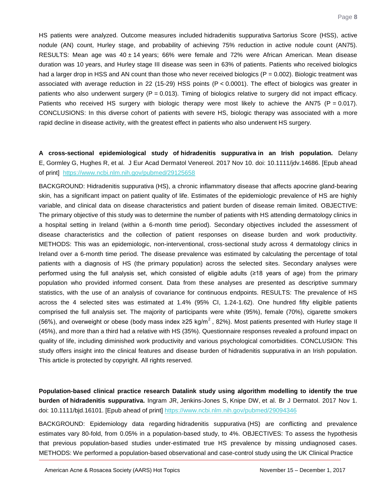HS patients were analyzed. Outcome measures included hidradenitis suppurativa Sartorius Score (HSS), active nodule (AN) count, Hurley stage, and probability of achieving 75% reduction in active nodule count (AN75). RESULTS: Mean age was  $40 \pm 14$  years; 66% were female and 72% were African American. Mean disease duration was 10 years, and Hurley stage III disease was seen in 63% of patients. Patients who received biologics had a larger drop in HSS and AN count than those who never received biologics ( $P = 0.002$ ). Biologic treatment was associated with average reduction in 22 (15-29) HSS points (P < 0.0001). The effect of biologics was greater in patients who also underwent surgery ( $P = 0.013$ ). Timing of biologics relative to surgery did not impact efficacy. Patients who received HS surgery with biologic therapy were most likely to achieve the AN75 (P = 0.017). CONCLUSIONS: In this diverse cohort of patients with severe HS, biologic therapy was associated with a more rapid decline in disease activity, with the greatest effect in patients who also underwent HS surgery.

<span id="page-8-0"></span>**A cross-sectional epidemiological study of hidradenitis suppurativa in an Irish population.** Delany E, Gormley G, Hughes R, et al. J Eur Acad Dermatol Venereol. 2017 Nov 10. doi: 10.1111/jdv.14686. [Epub ahead of print] <https://www.ncbi.nlm.nih.gov/pubmed/29125658>

BACKGROUND: Hidradenitis suppurativa (HS), a chronic inflammatory disease that affects apocrine gland-bearing skin, has a significant impact on patient quality of life. Estimates of the epidemiologic prevalence of HS are highly variable, and clinical data on disease characteristics and patient burden of disease remain limited. OBJECTIVE: The primary objective of this study was to determine the number of patients with HS attending dermatology clinics in a hospital setting in Ireland (within a 6-month time period). Secondary objectives included the assessment of disease characteristics and the collection of patient responses on disease burden and work productivity. METHODS: This was an epidemiologic, non-interventional, cross-sectional study across 4 dermatology clinics in Ireland over a 6-month time period. The disease prevalence was estimated by calculating the percentage of total patients with a diagnosis of HS (the primary population) across the selected sites. Secondary analyses were performed using the full analysis set, which consisted of eligible adults (≥18 years of age) from the primary population who provided informed consent. Data from these analyses are presented as descriptive summary statistics, with the use of an analysis of covariance for continuous endpoints. RESULTS: The prevalence of HS across the 4 selected sites was estimated at 1.4% (95% CI, 1.24-1.62). One hundred fifty eligible patients comprised the full analysis set. The majority of participants were white (95%), female (70%), cigarette smokers (56%), and overweight or obese (body mass index ≥25 kg/m<sup>2</sup>, 82%). Most patients presented with Hurley stage II (45%), and more than a third had a relative with HS (35%). Questionnaire responses revealed a profound impact on quality of life, including diminished work productivity and various psychological comorbidities. CONCLUSION: This study offers insight into the clinical features and disease burden of hidradenitis suppurativa in an Irish population. This article is protected by copyright. All rights reserved.

<span id="page-8-1"></span>**Population-based clinical practice research Datalink study using algorithm modelling to identify the true burden of hidradenitis suppurativa.** Ingram JR, Jenkins-Jones S, Knipe DW, et al. Br J Dermatol. 2017 Nov 1. doi: 10.1111/bjd.16101. [Epub ahead of print]<https://www.ncbi.nlm.nih.gov/pubmed/29094346>

BACKGROUND: Epidemiology data regarding hidradenitis suppurativa (HS) are conflicting and prevalence estimates vary 80-fold, from 0.05% in a population-based study, to 4%. OBJECTIVES: To assess the hypothesis that previous population-based studies under-estimated true HS prevalence by missing undiagnosed cases. METHODS: We performed a population-based observational and case-control study using the UK Clinical Practice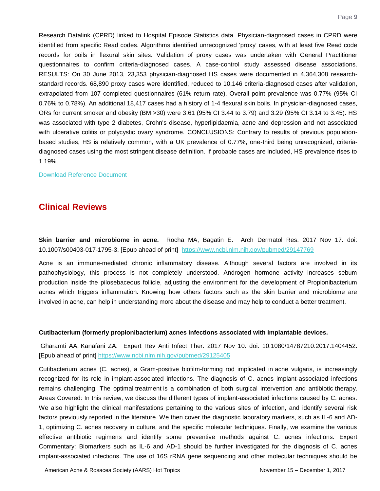Research Datalink (CPRD) linked to Hospital Episode Statistics data. Physician-diagnosed cases in CPRD were identified from specific Read codes. Algorithms identified unrecognized 'proxy' cases, with at least five Read code records for boils in flexural skin sites. Validation of proxy cases was undertaken with General Practitioner questionnaires to confirm criteria-diagnosed cases. A case-control study assessed disease associations. RESULTS: On 30 June 2013, 23,353 physician-diagnosed HS cases were documented in 4,364,308 researchstandard records. 68,890 proxy cases were identified, reduced to 10,146 criteria-diagnosed cases after validation, extrapolated from 107 completed questionnaires (61% return rate). Overall point prevalence was 0.77% (95% CI 0.76% to 0.78%). An additional 18,417 cases had a history of 1-4 flexural skin boils. In physician-diagnosed cases, ORs for current smoker and obesity (BMI>30) were 3.61 (95% CI 3.44 to 3.79) and 3.29 (95% CI 3.14 to 3.45). HS was associated with type 2 diabetes, Crohn's disease, hyperlipidaemia, acne and depression and not associated with ulcerative colitis or polycystic ovary syndrome. CONCLUSIONS: Contrary to results of previous populationbased studies, HS is relatively common, with a UK prevalence of 0.77%, one-third being unrecognized, criteriadiagnosed cases using the most stringent disease definition. If probable cases are included, HS prevalence rises to 1.19%.

[Download Reference Document](http://files.constantcontact.com/c2fa20d1101/706a4f15-c14c-47d8-85b5-e62a1e1ef654.pdf?ver=1512069154000)

## **Clinical Reviews**

<span id="page-9-0"></span>**Skin barrier and microbiome in acne.** Rocha MA, Bagatin E. Arch Dermatol Res. 2017 Nov 17. doi: 10.1007/s00403-017-1795-3. [Epub ahead of print] <https://www.ncbi.nlm.nih.gov/pubmed/29147769>

Acne is an immune-mediated chronic inflammatory disease. Although several factors are involved in its pathophysiology, this process is not completely understood. Androgen hormone activity increases sebum production inside the pilosebaceous follicle, adjusting the environment for the development of Propionibacterium acnes which triggers inflammation. Knowing how others factors such as the skin barrier and microbiome are involved in acne, can help in understanding more about the disease and may help to conduct a better treatment.

#### <span id="page-9-1"></span>**Cutibacterium (formerly propionibacterium) acnes infections associated with implantable devices.**

Gharamti AA, Kanafani ZA. Expert Rev Anti Infect Ther. 2017 Nov 10. doi: 10.1080/14787210.2017.1404452. [Epub ahead of print]<https://www.ncbi.nlm.nih.gov/pubmed/29125405>

Cutibacterium acnes (C. acnes), a Gram-positive biofilm-forming rod implicated in acne vulgaris, is increasingly recognized for its role in implant-associated infections. The diagnosis of C. acnes implant-associated infections remains challenging. The optimal treatment is a combination of both surgical intervention and antibiotic therapy. Areas Covered: In this review, we discuss the different types of implant-associated infections caused by C. acnes. We also highlight the clinical manifestations pertaining to the various sites of infection, and identify several risk factors previously reported in the literature. We then cover the diagnostic laboratory markers, such as IL-6 and AD-1, optimizing C. acnes recovery in culture, and the specific molecular techniques. Finally, we examine the various effective antibiotic regimens and identify some preventive methods against C. acnes infections. Expert Commentary: Biomarkers such as IL-6 and AD-1 should be further investigated for the diagnosis of C. acnes implant-associated infections. The use of 16S rRNA gene sequencing and other molecular techniques should be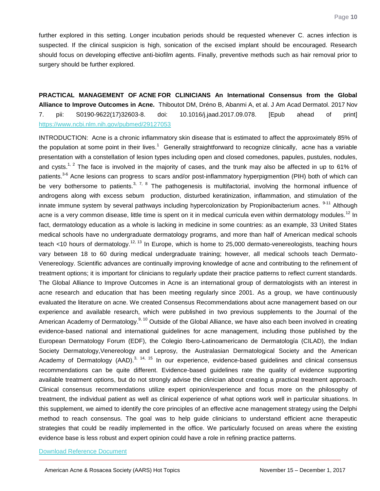further explored in this setting. Longer incubation periods should be requested whenever C. acnes infection is suspected. If the clinical suspicion is high, sonication of the excised implant should be encouraged. Research should focus on developing effective anti-biofilm agents. Finally, preventive methods such as hair removal prior to surgery should be further explored.

<span id="page-10-0"></span>**PRACTICAL MANAGEMENT OF ACNE FOR CLINICIANS An International Consensus from the Global Alliance to Improve Outcomes in Acne.** Thiboutot DM, Dréno B, Abanmi A, et al. J Am Acad Dermatol. 2017 Nov 7. pii: S0190-9622(17)32603-8. doi: 10.1016/j.jaad.2017.09.078. [Epub ahead of print] <https://www.ncbi.nlm.nih.gov/pubmed/29127053>

INTRODUCTION: Acne is a chronic inflammatory skin disease that is estimated to affect the approximately 85% of the population at some point in their lives.<sup>1</sup> Generally straightforward to recognize clinically, acne has a variable presentation with a constellation of lesion types including open and closed comedones, papules, pustules, nodules, and cvsts.<sup>1, 2</sup> The face is involved in the majority of cases, and the trunk may also be affected in up to 61% of patients.<sup>3-6</sup> Acne lesions can progress to scars and/or post-inflammatory hyperpigmention (PIH) both of which can be very bothersome to patients.<sup>3, 7, 8</sup> The pathogenesis is multifactorial, involving the hormonal influence of androgens along with excess sebum production, disturbed keratinization, inflammation, and stimulation of the innate immune system by several pathways including hypercolonization by Propionibacterium acnes. <sup>9-11</sup> Although acne is a very common disease, little time is spent on it in medical curricula even within dermatology modules.<sup>12</sup> In fact, dermatology education as a whole is lacking in medicine in some countries: as an example, 33 United States medical schools have no undergraduate dermatology programs, and more than half of American medical schools teach <10 hours of dermatology.<sup>12, 13</sup> In Europe, which is home to 25,000 dermato-venereologists, teaching hours vary between 18 to 60 during medical undergraduate training; however, all medical schools teach Dermato-Venereology. Scientific advances are continually improving knowledge of acne and contributing to the refinement of treatment options; it is important for clinicians to regularly update their practice patterns to reflect current standards. The Global Alliance to Improve Outcomes in Acne is an international group of dermatologists with an interest in acne research and education that has been meeting regularly since 2001. As a group, we have continuously evaluated the literature on acne. We created Consensus Recommendations about acne management based on our experience and available research, which were published in two previous supplements to the Journal of the American Academy of Dermatology.<sup>9, 10</sup> Outside of the Global Alliance, we have also each been involved in creating evidence-based national and international guidelines for acne management, including those published by the European Dermatology Forum (EDF), the Colegio Ibero-Latinoamericano de Dermatología (CILAD), the Indian Society Dermatology,Venereology and Leprosy, the Australasian Dermatological Society and the American Academy of Dermatology (AAD).<sup>3, 14, 15</sup> In our experience, evidence-based guidelines and clinical consensus recommendations can be quite different. Evidence-based guidelines rate the quality of evidence supporting available treatment options, but do not strongly advise the clinician about creating a practical treatment approach. Clinical consensus recommendations utilize expert opinion/experience and focus more on the philosophy of treatment, the individual patient as well as clinical experience of what options work well in particular situations. In this supplement, we aimed to identify the core principles of an effective acne management strategy using the Delphi method to reach consensus. The goal was to help guide clinicians to understand efficient acne therapeutic strategies that could be readily implemented in the office. We particularly focused on areas where the existing evidence base is less robust and expert opinion could have a role in refining practice patterns.

#### [Download Reference Document](http://files.constantcontact.com/c2fa20d1101/0097bb4e-c4c4-4c43-9328-0708e69d4611.pdf?ver=1512069147000)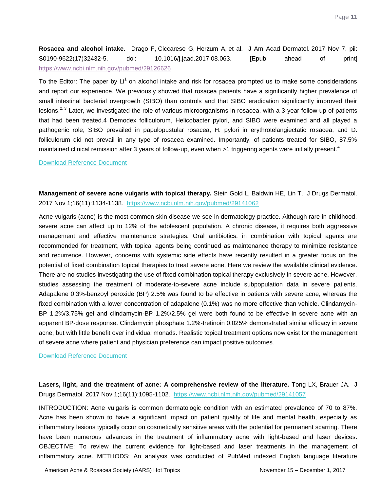<span id="page-11-0"></span>**Rosacea and alcohol intake.** Drago F, Ciccarese G, Herzum A, et al. J Am Acad Dermatol. 2017 Nov 7. pii: S0190-9622(17)32432-5. doi: 10.1016/j.jaad.2017.08.063. [Epub ahead of print] <https://www.ncbi.nlm.nih.gov/pubmed/29126626>

To the Editor: The paper by Li<sup>1</sup> on alcohol intake and risk for rosacea prompted us to make some considerations and report our experience. We previously showed that rosacea patients have a significantly higher prevalence of small intestinal bacterial overgrowth (SIBO) than controls and that SIBO eradication significantly improved their lesions.<sup>2, 3</sup> Later, we investigated the role of various microorganisms in rosacea, with a 3-year follow-up of patients that had been treated.4 Demodex folliculorum, Helicobacter pylori, and SIBO were examined and all played a pathogenic role; SIBO prevailed in papulopustular rosacea, H. pylori in erythrotelangiectatic rosacea, and D. folliculorum did not prevail in any type of rosacea examined. Importantly, of patients treated for SIBO, 87.5% maintained clinical remission after 3 years of follow-up, even when >1 triggering agents were initially present.<sup>4</sup>

#### [Download Reference Document](http://files.constantcontact.com/c2fa20d1101/c6841f2c-b438-45f8-ba58-ea4ae7c053f1.pdf?ver=1512069150000)

<span id="page-11-1"></span>**Management of severe acne vulgaris with topical therapy.** Stein Gold L, Baldwin HE, Lin T. J Drugs Dermatol. 2017 Nov 1;16(11):1134-1138. <https://www.ncbi.nlm.nih.gov/pubmed/29141062>

Acne vulgaris (acne) is the most common skin disease we see in dermatology practice. Although rare in childhood, severe acne can affect up to 12% of the adolescent population. A chronic disease, it requires both aggressive management and effective maintenance strategies. Oral antibiotics, in combination with topical agents are recommended for treatment, with topical agents being continued as maintenance therapy to minimize resistance and recurrence. However, concerns with systemic side effects have recently resulted in a greater focus on the potential of fixed combination topical therapies to treat severe acne. Here we review the available clinical evidence. There are no studies investigating the use of fixed combination topical therapy exclusively in severe acne. However, studies assessing the treatment of moderate-to-severe acne include subpopulation data in severe patients. Adapalene 0.3%-benzoyl peroxide (BP) 2.5% was found to be effective in patients with severe acne, whereas the fixed combination with a lower concentration of adapalene (0.1%) was no more effective than vehicle. Clindamycin-BP 1.2%/3.75% gel and clindamycin-BP 1.2%/2.5% gel were both found to be effective in severe acne with an apparent BP-dose response. Clindamycin phosphate 1.2%-tretinoin 0.025% demonstrated similar efficacy in severe acne, but with little benefit over individual monads. Realistic topical treatment options now exist for the management of severe acne where patient and physician preference can impact positive outcomes.

#### [Download Reference](http://files.constantcontact.com/c2fa20d1101/7228688d-42d1-457d-932b-69aeba98e2f8.pdf?ver=1512069151000) Document

<span id="page-11-2"></span>Lasers, light, and the treatment of acne: A comprehensive review of the literature. Tong LX, Brauer JA. J Drugs Dermatol. 2017 Nov 1;16(11):1095-1102. <https://www.ncbi.nlm.nih.gov/pubmed/29141057>

INTRODUCTION: Acne vulgaris is common dermatologic condition with an estimated prevalence of 70 to 87%. Acne has been shown to have a significant impact on patient quality of life and mental health, especially as inflammatory lesions typically occur on cosmetically sensitive areas with the potential for permanent scarring. There have been numerous advances in the treatment of inflammatory acne with light-based and laser devices. OBJECTIVE: To review the current evidence for light-based and laser treatments in the management of inflammatory acne. METHODS: An analysis was conducted of PubMed indexed English language literature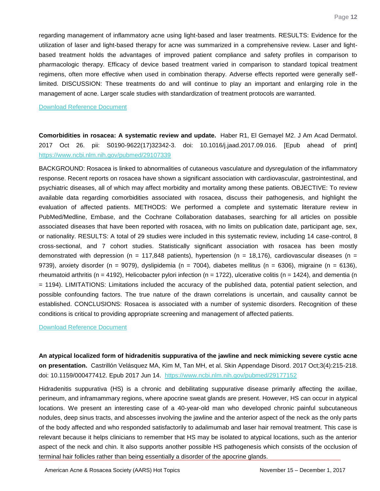regarding management of inflammatory acne using light-based and laser treatments. RESULTS: Evidence for the utilization of laser and light-based therapy for acne was summarized in a comprehensive review. Laser and lightbased treatment holds the advantages of improved patient compliance and safety profiles in comparison to pharmacologic therapy. Efficacy of device based treatment varied in comparison to standard topical treatment regimens, often more effective when used in combination therapy. Adverse effects reported were generally selflimited. DISCUSSION: These treatments do and will continue to play an important and enlarging role in the management of acne. Larger scale studies with standardization of treatment protocols are warranted.

#### [Download Reference Document](http://files.constantcontact.com/c2fa20d1101/1052df22-2a4d-4b6f-8ba7-6a30792fd63b.pdf?ver=1512069147000)

<span id="page-12-0"></span>**Comorbidities in rosacea: A systematic review and update.** Haber R1, El Gemayel M2. J Am Acad Dermatol. 2017 Oct 26. pii: S0190-9622(17)32342-3. doi: 10.1016/j.jaad.2017.09.016. [Epub ahead of print] <https://www.ncbi.nlm.nih.gov/pubmed/29107339>

BACKGROUND: Rosacea is linked to abnormalities of cutaneous vasculature and dysregulation of the inflammatory response. Recent reports on rosacea have shown a significant association with cardiovascular, gastrointestinal, and psychiatric diseases, all of which may affect morbidity and mortality among these patients. OBJECTIVE: To review available data regarding comorbidities associated with rosacea, discuss their pathogenesis, and highlight the evaluation of affected patients. METHODS: We performed a complete and systematic literature review in PubMed/Medline, Embase, and the Cochrane Collaboration databases, searching for all articles on possible associated diseases that have been reported with rosacea, with no limits on publication date, participant age, sex, or nationality. RESULTS: A total of 29 studies were included in this systematic review, including 14 case-control, 8 cross-sectional, and 7 cohort studies. Statistically significant association with rosacea has been mostly demonstrated with depression (n = 117,848 patients), hypertension (n = 18,176), cardiovascular diseases (n = 9739), anxiety disorder (n = 9079), dyslipidemia (n = 7004), diabetes mellitus (n = 6306), migraine (n = 6136), rheumatoid arthritis (n = 4192), Helicobacter pylori infection (n = 1722), ulcerative colitis (n = 1424), and dementia (n = 1194). LIMITATIONS: Limitations included the accuracy of the published data, potential patient selection, and possible confounding factors. The true nature of the drawn correlations is uncertain, and causality cannot be established. CONCLUSIONS: Rosacea is associated with a number of systemic disorders. Recognition of these conditions is critical to providing appropriate screening and management of affected patients.

#### [Download Reference Document](http://files.constantcontact.com/c2fa20d1101/be4e34e6-fd7e-4ce3-887c-f5f020d8693a.pdf?ver=1512069152000)

<span id="page-12-1"></span>**An atypical localized form of hidradenitis suppurativa of the jawline and neck mimicking severe cystic acne on presentation.** Castrillón Velásquez MA, Kim M, Tan MH, et al. Skin Appendage Disord. 2017 Oct;3(4):215-218. doi: 10.1159/000477412. Epub 2017 Jun 14. <https://www.ncbi.nlm.nih.gov/pubmed/29177152>

Hidradenitis suppurativa (HS) is a chronic and debilitating suppurative disease primarily affecting the axillae, perineum, and inframammary regions, where apocrine sweat glands are present. However, HS can occur in atypical locations. We present an interesting case of a 40-year-old man who developed chronic painful subcutaneous nodules, deep sinus tracts, and abscesses involving the jawline and the anterior aspect of the neck as the only parts of the body affected and who responded satisfactorily to adalimumab and laser hair removal treatment. This case is relevant because it helps clinicians to remember that HS may be isolated to atypical locations, such as the anterior aspect of the neck and chin. It also supports another possible HS pathogenesis which consists of the occlusion of terminal hair follicles rather than being essentially a disorder of the apocrine glands.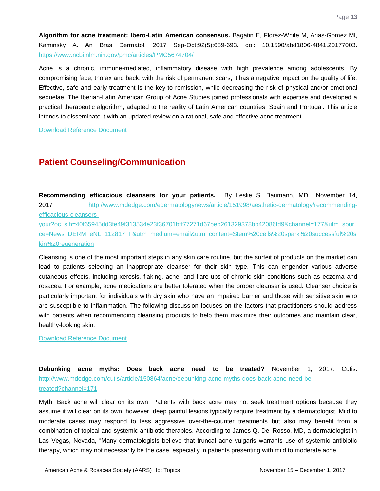<span id="page-13-0"></span>**Algorithm for acne treatment: Ibero-Latin American consensus.** Bagatin E, Florez-White M, Arias-Gomez MI, Kaminsky A. An Bras Dermatol. 2017 Sep-Oct;92(5):689-693. doi: 10.1590/abd1806-4841.20177003. <https://www.ncbi.nlm.nih.gov/pmc/articles/PMC5674704/>

Acne is a chronic, immune-mediated, inflammatory disease with high prevalence among adolescents. By compromising face, thorax and back, with the risk of permanent scars, it has a negative impact on the quality of life. Effective, safe and early treatment is the key to remission, while decreasing the risk of physical and/or emotional sequelae. The Iberian-Latin American Group of Acne Studies joined professionals with expertise and developed a practical therapeutic algorithm, adapted to the reality of Latin American countries, Spain and Portugal. This article intends to disseminate it with an updated review on a rational, safe and effective acne treatment.

[Download Reference Document](http://files.constantcontact.com/c2fa20d1101/e5d39dd1-b072-46ca-ab46-087ffce221c1.pdf?ver=1512069149000)

## **Patient Counseling/Communication**

<span id="page-13-1"></span>**Recommending efficacious cleansers for your patients.** By Leslie S. Baumann, MD. November 14, 2017 [http://www.mdedge.com/edermatologynews/article/151998/aesthetic-dermatology/recommending](http://www.mdedge.com/edermatologynews/article/151998/aesthetic-dermatology/recommending-efficacious-cleansers-your?oc_slh=40f65945dd3fe49f313534e23f36701bff77271d67beb261329378bb42086fd9&channel=177&utm_source=News_DERM_eNL_112817_F&utm_medium=email&utm_content=Stem%20cells%20spark%20successful%20skin%20regeneration)[efficacious-cleansers-](http://www.mdedge.com/edermatologynews/article/151998/aesthetic-dermatology/recommending-efficacious-cleansers-your?oc_slh=40f65945dd3fe49f313534e23f36701bff77271d67beb261329378bb42086fd9&channel=177&utm_source=News_DERM_eNL_112817_F&utm_medium=email&utm_content=Stem%20cells%20spark%20successful%20skin%20regeneration)

[your?oc\\_slh=40f65945dd3fe49f313534e23f36701bff77271d67beb261329378bb42086fd9&channel=177&utm\\_sour](http://www.mdedge.com/edermatologynews/article/151998/aesthetic-dermatology/recommending-efficacious-cleansers-your?oc_slh=40f65945dd3fe49f313534e23f36701bff77271d67beb261329378bb42086fd9&channel=177&utm_source=News_DERM_eNL_112817_F&utm_medium=email&utm_content=Stem%20cells%20spark%20successful%20skin%20regeneration) [ce=News\\_DERM\\_eNL\\_112817\\_F&utm\\_medium=email&utm\\_content=Stem%20cells%20spark%20successful%20s](http://www.mdedge.com/edermatologynews/article/151998/aesthetic-dermatology/recommending-efficacious-cleansers-your?oc_slh=40f65945dd3fe49f313534e23f36701bff77271d67beb261329378bb42086fd9&channel=177&utm_source=News_DERM_eNL_112817_F&utm_medium=email&utm_content=Stem%20cells%20spark%20successful%20skin%20regeneration) [kin%20regeneration](http://www.mdedge.com/edermatologynews/article/151998/aesthetic-dermatology/recommending-efficacious-cleansers-your?oc_slh=40f65945dd3fe49f313534e23f36701bff77271d67beb261329378bb42086fd9&channel=177&utm_source=News_DERM_eNL_112817_F&utm_medium=email&utm_content=Stem%20cells%20spark%20successful%20skin%20regeneration)

Cleansing is one of the most important steps in any skin care routine, but the surfeit of products on the market can lead to patients selecting an inappropriate cleanser for their skin type. This can engender various adverse cutaneous effects, including xerosis, flaking, acne, and flare-ups of chronic skin conditions such as eczema and rosacea. For example, acne medications are better tolerated when the proper cleanser is used. Cleanser choice is particularly important for individuals with dry skin who have an impaired barrier and those with sensitive skin who are susceptible to inflammation. The following discussion focuses on the factors that practitioners should address with patients when recommending cleansing products to help them maximize their outcomes and maintain clear, healthy-looking skin.

[Download Reference Document](http://files.constantcontact.com/c2fa20d1101/5762aa45-3825-4262-98ff-c1dd66ed40ed.pdf?ver=1512069150000)

<span id="page-13-2"></span>**Debunking acne myths: Does back acne need to be treated?** November 1, 2017. Cutis. [http://www.mdedge.com/cutis/article/150864/acne/debunking-acne-myths-does-back-acne-need-be](http://www.mdedge.com/cutis/article/150864/acne/debunking-acne-myths-does-back-acne-need-be-treated?channel=171)[treated?channel=171](http://www.mdedge.com/cutis/article/150864/acne/debunking-acne-myths-does-back-acne-need-be-treated?channel=171)

Myth: Back acne will clear on its own. Patients with back acne may not seek treatment options because they assume it will clear on its own; however, deep painful lesions typically require treatment by a dermatologist. Mild to moderate cases may respond to less aggressive over-the-counter treatments but also may benefit from a combination of topical and systemic antibiotic therapies. According to James Q. Del Rosso, MD, a dermatologist in Las Vegas, Nevada, "Many dermatologists believe that truncal acne vulgaris warrants use of systemic antibiotic therapy, which may not necessarily be the case, especially in patients presenting with mild to moderate acne